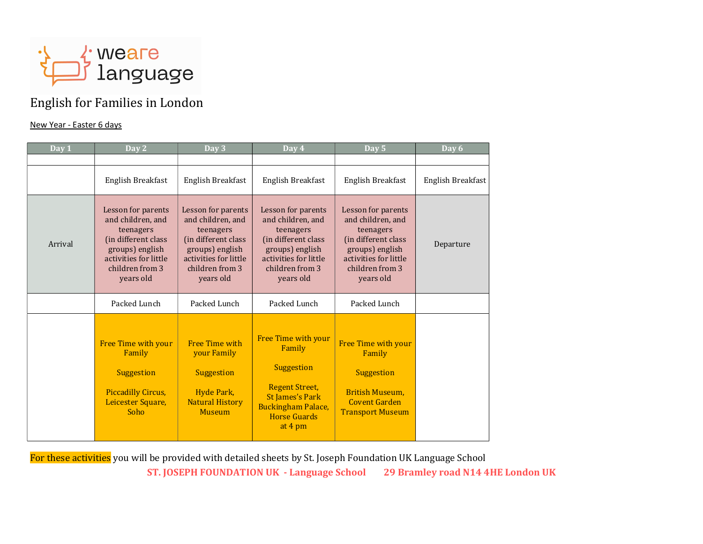

## English for Families in London

## New Year - Easter 6 days

| Day 1   | Day 2                                                                                                                                                   | Day 3                                                                                                                                                   | Day 4                                                                                                                                                         | Day 5                                                                                                                                                   | Day 6             |
|---------|---------------------------------------------------------------------------------------------------------------------------------------------------------|---------------------------------------------------------------------------------------------------------------------------------------------------------|---------------------------------------------------------------------------------------------------------------------------------------------------------------|---------------------------------------------------------------------------------------------------------------------------------------------------------|-------------------|
|         |                                                                                                                                                         |                                                                                                                                                         |                                                                                                                                                               |                                                                                                                                                         |                   |
|         | English Breakfast                                                                                                                                       | English Breakfast                                                                                                                                       | English Breakfast                                                                                                                                             | English Breakfast                                                                                                                                       | English Breakfast |
| Arrival | Lesson for parents<br>and children, and<br>teenagers<br>(in different class<br>groups) english<br>activities for little<br>children from 3<br>years old | Lesson for parents<br>and children, and<br>teenagers<br>(in different class<br>groups) english<br>activities for little<br>children from 3<br>years old | Lesson for parents<br>and children, and<br>teenagers<br>(in different class<br>groups) english<br>activities for little<br>children from 3<br>years old       | Lesson for parents<br>and children, and<br>teenagers<br>(in different class<br>groups) english<br>activities for little<br>children from 3<br>years old | Departure         |
|         | Packed Lunch                                                                                                                                            | Packed Lunch                                                                                                                                            | Packed Lunch                                                                                                                                                  | Packed Lunch                                                                                                                                            |                   |
|         | Free Time with your<br>Family<br><b>Suggestion</b><br><b>Piccadilly Circus,</b><br>Leicester Square,<br>Soho                                            | <b>Free Time with</b><br><b>vour Family</b><br><b>Suggestion</b><br>Hyde Park,<br><b>Natural History</b><br><b>Museum</b>                               | Free Time with your<br>Family<br>Suggestion<br><b>Regent Street,</b><br><b>St James's Park</b><br><b>Buckingham Palace,</b><br><b>Horse Guards</b><br>at 4 pm | Free Time with your<br>Family<br><b>Suggestion</b><br>British Museum,<br><b>Covent Garden</b><br><b>Transport Museum</b>                                |                   |

For these activities you will be provided with detailed sheets by St. Joseph Foundation UK Language School

ST. JOSEPH FOUNDATION UK - Language School 29 Bramley road N14 4HE London UK